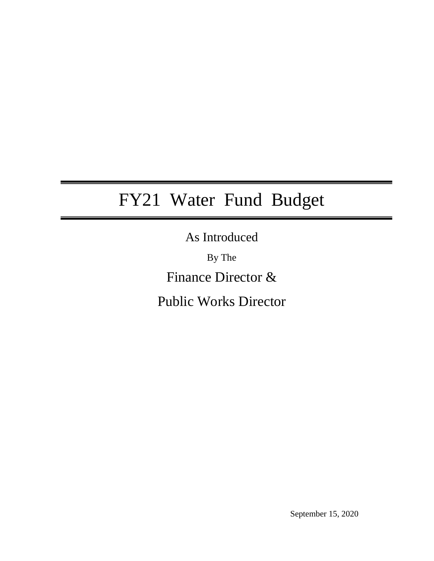# FY21 Water Fund Budget

As Introduced

By The Finance Director &

Public Works Director

September 15, 2020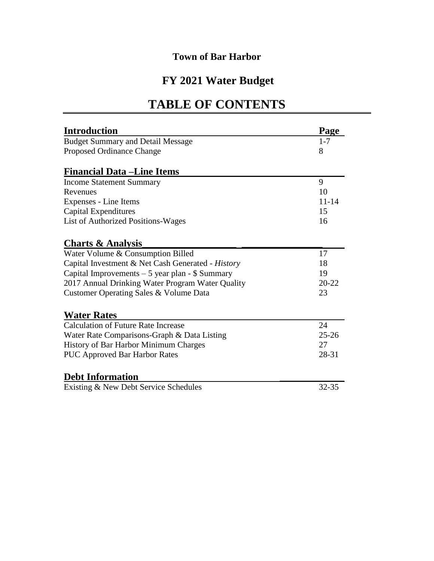# **FY 2021 Water Budget**

# **TABLE OF CONTENTS**

| <b>Introduction</b>                               | Page      |
|---------------------------------------------------|-----------|
| <b>Budget Summary and Detail Message</b>          | $1 - 7$   |
| Proposed Ordinance Change                         | 8         |
| <b>Financial Data – Line Items</b>                |           |
| <b>Income Statement Summary</b>                   | 9         |
| Revenues                                          | 10        |
| Expenses - Line Items                             | $11 - 14$ |
| <b>Capital Expenditures</b>                       | 15        |
| <b>List of Authorized Positions-Wages</b>         | 16        |
| <b>Charts &amp; Analysis</b>                      |           |
| Water Volume & Consumption Billed                 | 17        |
| Capital Investment & Net Cash Generated - History | 18        |
| Capital Improvements $-5$ year plan - \$ Summary  | 19        |
| 2017 Annual Drinking Water Program Water Quality  | $20 - 22$ |
| Customer Operating Sales & Volume Data            | 23        |
| <b>Water Rates</b>                                |           |
| <b>Calculation of Future Rate Increase</b>        | 24        |
| Water Rate Comparisons-Graph & Data Listing       | $25 - 26$ |
| History of Bar Harbor Minimum Charges             | 27        |
| <b>PUC Approved Bar Harbor Rates</b>              | 28-31     |
| <b>Debt Information</b>                           |           |
| Existing & New Debt Service Schedules             | $32 - 35$ |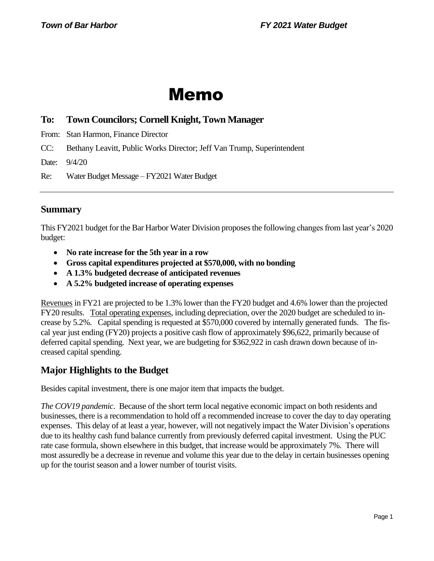# Memo

# **To: Town Councilors; Cornell Knight, Town Manager**

From: Stan Harmon, Finance Director

CC: Bethany Leavitt, Public Works Director; Jeff Van Trump, Superintendent

Date: 9/4/20

Re: Water Budget Message – FY2021 Water Budget

## **Summary**

This FY2021 budget for the Bar Harbor Water Division proposesthe following changes from last year's 2020 budget:

- **No rate increase for the 5th year in a row**
- **Gross capital expenditures projected at \$570,000, with no bonding**
- **A 1.3% budgeted decrease of anticipated revenues**
- **A 5.2% budgeted increase of operating expenses**

Revenues in FY21 are projected to be 1.3% lower than the FY20 budget and 4.6% lower than the projected FY20 results. Total operating expenses, including depreciation, over the 2020 budget are scheduled to increase by 5.2%. Capital spending is requested at \$570,000 covered by internally generated funds. The fiscal year just ending (FY20) projects a positive cash flow of approximately \$96,622, primarily because of deferred capital spending. Next year, we are budgeting for \$362,922 in cash drawn down because of increased capital spending.

# **Major Highlights to the Budget**

Besides capital investment, there is one major item that impacts the budget.

*The COV19 pandemic*. Because of the short term local negative economic impact on both residents and businesses, there is a recommendation to hold off a recommended increase to cover the day to day operating expenses. This delay of at least a year, however, will not negatively impact the Water Division's operations due to its healthy cash fund balance currently from previously deferred capital investment. Using the PUC rate case formula, shown elsewhere in this budget, that increase would be approximately 7%. There will most assuredly be a decrease in revenue and volume this year due to the delay in certain businesses opening up for the tourist season and a lower number of tourist visits.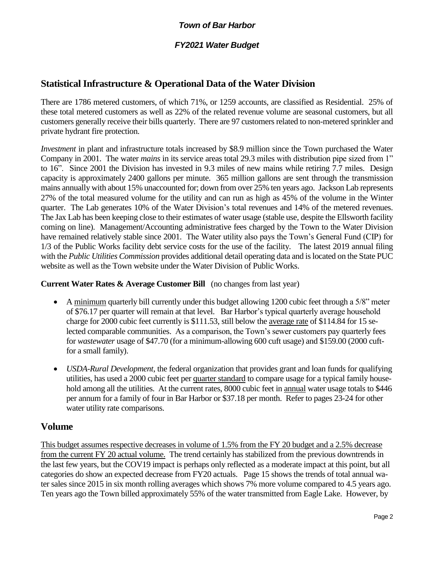#### *FY2021 Water Budget*

# **Statistical Infrastructure & Operational Data of the Water Division**

There are 1786 metered customers, of which 71%, or 1259 accounts, are classified as Residential. 25% of these total metered customers as well as 22% of the related revenue volume are seasonal customers, but all customers generally receive their bills quarterly. There are 97 customers related to non-metered sprinkler and private hydrant fire protection.

*Investment* in plant and infrastructure totals increased by \$8.9 million since the Town purchased the Water Company in 2001. The water *mains* in its service areas total 29.3 miles with distribution pipe sized from 1" to 16". Since 2001 the Division has invested in 9.3 miles of new mains while retiring 7.7 miles. Design capacity is approximately 2400 gallons per minute. 365 million gallons are sent through the transmission mains annually with about 15% unaccounted for; down from over 25% ten years ago. Jackson Lab represents 27% of the total measured volume for the utility and can run as high as 45% of the volume in the Winter quarter. The Lab generates 10% of the Water Division's total revenues and 14% of the metered revenues. The Jax Lab has been keeping close to their estimates of water usage (stable use, despite the Ellsworth facility coming on line). Management/Accounting administrative fees charged by the Town to the Water Division have remained relatively stable since 2001. The Water utility also pays the Town's General Fund (CIP) for 1/3 of the Public Works facility debt service costs for the use of the facility.The latest 2019 annual filing with the *Public Utilities Commission* provides additional detail operating data and is located on the State PUC website as well as the Town website under the Water Division of Public Works.

#### **Current Water Rates & Average Customer Bill** (no changes from last year)

- A minimum quarterly bill currently under this budget allowing 1200 cubic feet through a 5/8" meter of \$76.17 per quarter will remain at that level. Bar Harbor's typical quarterly average household charge for 2000 cubic feet currently is \$111.53, still below the average rate of \$114.84 for 15 selected comparable communities. As a comparison, the Town's sewer customers pay quarterly fees for *wastewater* usage of \$47.70 (for a minimum-allowing 600 cuft usage) and \$159.00 (2000 cuftfor a small family).
- *USDA-Rural Development*, the federal organization that provides grant and loan funds for qualifying utilities, has used a 2000 cubic feet per quarter standard to compare usage for a typical family household among all the utilities. At the current rates, 8000 cubic feet in annual water usage totals to \$446 per annum for a family of four in Bar Harbor or \$37.18 per month. Refer to pages 23-24 for other water utility rate comparisons.

#### **Volume**

This budget assumes respective decreases in volume of 1.5% from the FY 20 budget and a 2.5% decrease from the current FY 20 actual volume. The trend certainly has stabilized from the previous downtrends in the last few years, but the COV19 impact is perhaps only reflected as a moderate impact at this point, but all categories do show an expected decrease from FY20 actuals. Page 15 shows the trends of total annual water sales since 2015 in six month rolling averages which shows 7% more volume compared to 4.5 years ago. Ten years ago the Town billed approximately 55% of the water transmitted from Eagle Lake. However, by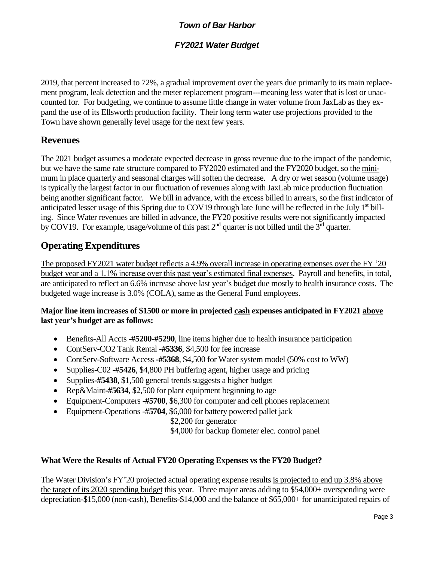### *FY2021 Water Budget*

2019, that percent increased to 72%, a gradual improvement over the years due primarily to its main replacement program, leak detection and the meter replacement program---meaning less water that is lost or unaccounted for. For budgeting, we continue to assume little change in water volume from JaxLab as they expand the use of its Ellsworth production facility. Their long term water use projections provided to the Town have shown generally level usage for the next few years.

# **Revenues**

The 2021 budget assumes a moderate expected decrease in gross revenue due to the impact of the pandemic, but we have the same rate structure compared to FY2020 estimated and the FY2020 budget, so the minimum in place quarterly and seasonal charges will soften the decrease. A dry or wet season (volume usage) is typically the largest factor in our fluctuation of revenues along with JaxLab mice production fluctuation being another significant factor. We bill in advance, with the excess billed in arrears, so the first indicator of anticipated lesser usage of this Spring due to COV19 through late June will be reflected in the July 1<sup>st</sup> billing. Since Water revenues are billed in advance, the FY20 positive results were not significantly impacted by COV19. For example, usage/volume of this past  $2<sup>nd</sup>$  quarter is not billed until the  $3<sup>rd</sup>$  quarter.

# **Operating Expenditures**

The proposed FY2021 water budget reflects a 4.9% overall increase in operating expenses over the FY '20 budget year and a 1.1% increase over this past year's estimated final expenses. Payroll and benefits, in total, are anticipated to reflect an 6.6% increase above last year's budget due mostly to health insurance costs. The budgeted wage increase is 3.0% (COLA), same as the General Fund employees.

#### **Major line item increases of \$1500 or more in projected cash expenses anticipated in FY2021 above last year's budget are as follows:**

- Benefits-All Accts **-#5200-#5290**, line items higher due to health insurance participation
- ContServ-CO2 Tank Rental -**#5336**, \$4,500 for fee increase
- ContServ-Software Access **-#5368**, \$4,500 for Water system model (50% cost to WW)
- Supplies-C02 -#**5426**, \$4,800 PH buffering agent, higher usage and pricing
- Supplies**-#5438**, \$1,500 general trends suggests a higher budget
- Rep&Maint-#5634, \$2,500 for plant equipment beginning to age
- Equipment-Computers **-#5700**, \$6,300 for computer and cell phones replacement
- Equipment-Operations -#**5704**, \$6,000 for battery powered pallet jack

\$2,200 for generator

\$4,000 for backup flometer elec. control panel

#### **What Were the Results of Actual FY20 Operating Expenses vs the FY20 Budget?**

The Water Division's FY'20 projected actual operating expense results is projected to end up 3.8% above the target of its 2020 spending budget this year. Three major areas adding to \$54,000+ overspending were depreciation-\$15,000 (non-cash), Benefits-\$14,000 and the balance of \$65,000+ for unanticipated repairs of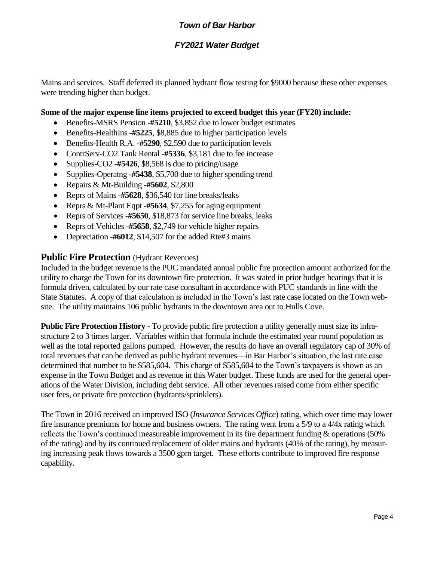### *FY2021 Water Budget*

Mains and services. Staff deferred its planned hydrant flow testing for \$9000 because these other expenses were trending higher than budget.

#### **Some of the major expense line items projected to exceed budget this year (FY20) include:**

- Benefits-MSRS Pension **-#5210**, \$3,852 due to lower budget estimates
- Benefits-HealthIns **-#5225**, \$8,885 due to higher participation levels
- Benefits-Health R.A. -**#5290**, \$2,590 due to participation levels
- ContrServ-CO2 Tank Rental -**#5336**, \$3,181 due to fee increase
- Supplies-CO2 **-#5426**, \$8,568 is due to pricing/usage
- Supplies-Operatng -#5438, \$5,700 due to higher spending trend
- Repairs & Mt-Building **-#5602**, \$2,800
- Reprs of Mains -**#5628**, \$36,540 for line breaks/leaks
- Reprs & Mt-Plant Eqpt **-#5634**, \$7,255 for aging equipment
- Reprs of Services -**#5650**, \$18,873 for service line breaks, leaks
- Reprs of Vehicles -**#5658**, \$2,749 for vehicle higher repairs
- Depreciation **-#6012**, \$14,507 for the added Rte#3 mains

#### **Public Fire Protection** (Hydrant Revenues)

Included in the budget revenue is the PUC mandated annual public fire protection amount authorized for the utility to charge the Town for its downtown fire protection. It was stated in prior budget hearings that it is formula driven, calculated by our rate case consultant in accordance with PUC standards in line with the State Statutes. A copy of that calculation is included in the Town's last rate case located on the Town website. The utility maintains 106 public hydrants in the downtown area out to Hulls Cove.

**Public Fire Protection History** - To provide public fire protection a utility generally must size its infrastructure 2 to 3 times larger. Variables within that formula include the estimated year round population as well as the total reported gallons pumped. However, the results do have an overall regulatory cap of 30% of total revenues that can be derived as public hydrant revenues—in Bar Harbor's situation, the last rate case determined that number to be \$585,604. This charge of \$585,604 to the Town's taxpayers is shown as an expense in the Town Budget and as revenue in this Water budget. These funds are used for the general operations of the Water Division, including debt service. All other revenues raised come from either specific user fees, or private fire protection (hydrants/sprinklers).

The Town in 2016 received an improved ISO (*Insurance Services Office*) rating, which over time may lower fire insurance premiums for home and business owners. The rating went from a 5/9 to a 4/4x rating which reflects the Town's continued measureable improvement in its fire department funding & operations (50% of the rating) and by its continued replacement of older mains and hydrants (40% of the rating), by measuring increasing peak flows towards a 3500 gpm target. These efforts contribute to improved fire response capability.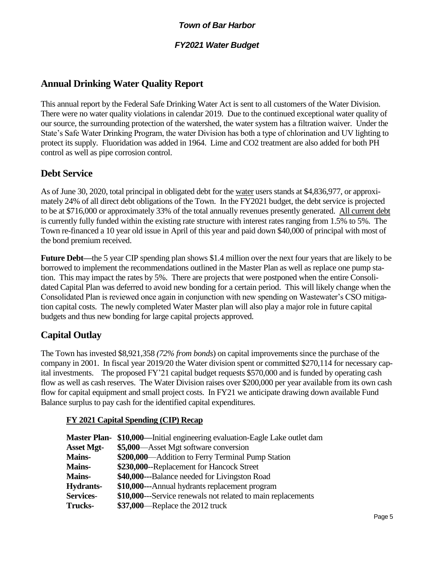### *FY2021 Water Budget*

# **Annual Drinking Water Quality Report**

This annual report by the Federal Safe Drinking Water Act is sent to all customers of the Water Division. There were no water quality violations in calendar 2019. Due to the continued exceptional water quality of our source, the surrounding protection of the watershed, the water system has a filtration waiver. Under the State's Safe Water Drinking Program, the water Division has both a type of chlorination and UV lighting to protect its supply. Fluoridation was added in 1964. Lime and CO2 treatment are also added for both PH control as well as pipe corrosion control.

# **Debt Service**

As of June 30, 2020, total principal in obligated debt for the water users stands at \$4,836,977, or approximately 24% of all direct debt obligations of the Town. In the FY2021 budget, the debt service is projected to be at \$716,000 or approximately 33% of the total annually revenues presently generated. All current debt is currently fully funded within the existing rate structure with interest rates ranging from 1.5% to 5%. The Town re-financed a 10 year old issue in April of this year and paid down \$40,000 of principal with most of the bond premium received.

**Future Debt—**the 5 year CIP spending plan shows \$1.4 million over the next four years that are likely to be borrowed to implement the recommendations outlined in the Master Plan as well as replace one pump station. This may impact the rates by 5%. There are projects that were postponed when the entire Consolidated Capital Plan was deferred to avoid new bonding for a certain period. This will likely change when the Consolidated Plan is reviewed once again in conjunction with new spending on Wastewater's CSO mitigation capital costs. The newly completed Water Master plan will also play a major role in future capital budgets and thus new bonding for large capital projects approved.

# **Capital Outlay**

The Town has invested \$8,921,358 *(72% from bonds*) on capital improvements since the purchase of the company in 2001. In fiscal year 2019/20 the Water division spent or committed \$270,114 for necessary capital investments. The proposed FY'21 capital budget requests \$570,000 and is funded by operating cash flow as well as cash reserves. The Water Division raises over \$200,000 per year available from its own cash flow for capital equipment and small project costs. In FY21 we anticipate drawing down available Fund Balance surplus to pay cash for the identified capital expenditures.

#### **FY 2021 Capital Spending (CIP) Recap**

| <b>Master Plan-</b> | \$10,000—Initial engineering evaluation-Eagle Lake outlet dam |
|---------------------|---------------------------------------------------------------|
| <b>Asset Mgt-</b>   | \$5,000—Asset Mgt software conversion                         |
| <b>Mains-</b>       | \$200,000—Addition to Ferry Terminal Pump Station             |
| <b>Mains-</b>       | \$230,000--Replacement for Hancock Street                     |
| <b>Mains-</b>       | \$40,000---Balance needed for Livingston Road                 |
| Hydrants-           | \$10,000---Annual hydrants replacement program                |
| <b>Services-</b>    | \$10,000—Service renewals not related to main replacements    |
| <b>Trucks-</b>      | \$37,000—Replace the 2012 truck                               |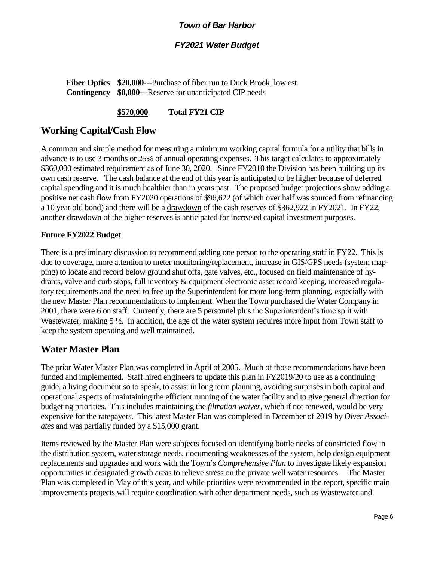#### *FY2021 Water Budget*

**Fiber Optics \$20,000**---Purchase of fiber run to Duck Brook, low est. **Contingency \$8,000-**--Reserve for unanticipated CIP needs

#### **\$570,000 Total FY21 CIP**

## **Working Capital/Cash Flow**

A common and simple method for measuring a minimum working capital formula for a utility that bills in advance is to use 3 months or 25% of annual operating expenses. This target calculates to approximately \$360,000 estimated requirement as of June 30, 2020. Since FY2010 the Division has been building up its own cash reserve. The cash balance at the end of this year is anticipated to be higher because of deferred capital spending and it is much healthier than in years past. The proposed budget projections show adding a positive net cash flow from FY2020 operations of \$96,622 (of which over half was sourced from refinancing a 10 year old bond) and there will be a drawdown of the cash reserves of \$362,922 in FY2021. In FY22, another drawdown of the higher reserves is anticipated for increased capital investment purposes.

#### **Future FY2022 Budget**

There is a preliminary discussion to recommend adding one person to the operating staff in FY22*.* This is due to coverage, more attention to meter monitoring/replacement, increase in GIS/GPS needs (system mapping) to locate and record below ground shut offs, gate valves, etc., focused on field maintenance of hydrants, valve and curb stops, full inventory & equipment electronic asset record keeping, increased regulatory requirements and the need to free up the Superintendent for more long-term planning, especially with the new Master Plan recommendations to implement. When the Town purchased the Water Company in 2001, there were 6 on staff. Currently, there are 5 personnel plus the Superintendent's time split with Wastewater, making  $5\frac{1}{2}$ . In addition, the age of the water system requires more input from Town staff to keep the system operating and well maintained.

#### **Water Master Plan**

The prior Water Master Plan was completed in April of 2005. Much of those recommendations have been funded and implemented. Staff hired engineers to update this plan in FY2019/20 to use as a continuing guide, a living document so to speak, to assist in long term planning, avoiding surprises in both capital and operational aspects of maintaining the efficient running of the water facility and to give general direction for budgeting priorities. This includes maintaining the *filtration waiver*, which if not renewed, would be very expensive for the ratepayers. This latest Master Plan was completed in December of 2019 by *Olver Associates* and was partially funded by a \$15,000 grant.

Items reviewed by the Master Plan were subjects focused on identifying bottle necks of constricted flow in the distribution system, water storage needs, documenting weaknesses of the system, help design equipment replacements and upgrades and work with the Town's *Comprehensive Plan* to investigate likely expansion opportunities in designated growth areas to relieve stress on the private well water resources. The Master Plan was completed in May of this year, and while priorities were recommended in the report, specific main improvements projects will require coordination with other department needs, such as Wastewater and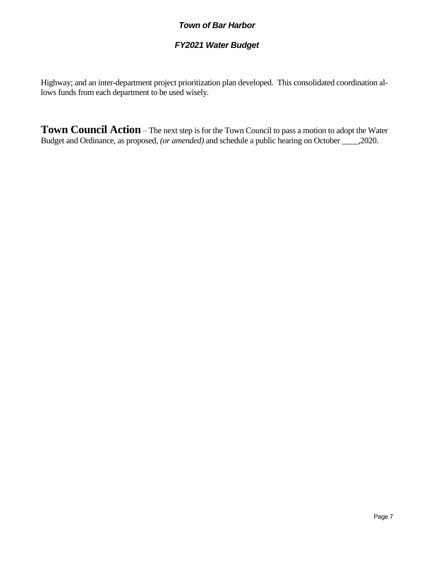## *FY2021 Water Budget*

Highway; and an inter-department project prioritization plan developed. This consolidated coordination allows funds from each department to be used wisely.

**Town Council Action** – The next step is for the Town Council to pass a motion to adopt the Water Budget and Ordinance, as proposed, *(or amended)* and schedule a public hearing on October \_\_\_\_,2020.